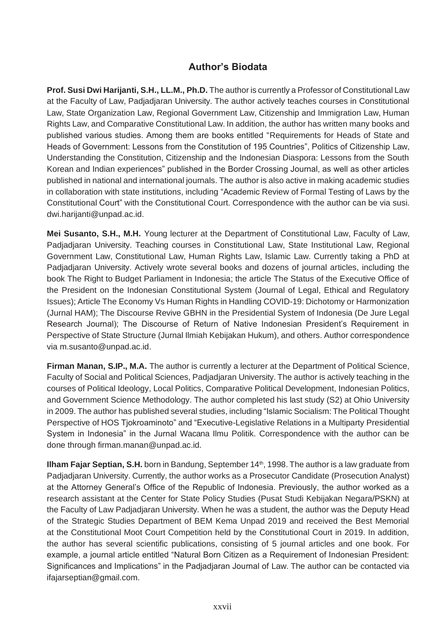## **Author's Biodata**

**Prof. Susi Dwi Harijanti, S.H., LL.M., Ph.D.** The author is currently a Professor of Constitutional Law at the Faculty of Law, Padjadjaran University. The author actively teaches courses in Constitutional Law, State Organization Law, Regional Government Law, Citizenship and Immigration Law, Human Rights Law, and Comparative Constitutional Law. In addition, the author has written many books and published various studies. Among them are books entitled "Requirements for Heads of State and Heads of Government: Lessons from the Constitution of 195 Countries", Politics of Citizenship Law, Understanding the Constitution, Citizenship and the Indonesian Diaspora: Lessons from the South Korean and Indian experiences" published in the Border Crossing Journal, as well as other articles published in national and international journals. The author is also active in making academic studies in collaboration with state institutions, including "Academic Review of Formal Testing of Laws by the Constitutional Court" with the Constitutional Court. Correspondence with the author can be via susi. [dwi.harijanti@unpad.ac.id.](mailto:dwi.harijanti@unpad.ac.id)

**Mei Susanto, S.H., M.H.** Young lecturer at the Department of Constitutional Law, Faculty of Law, Padjadjaran University. Teaching courses in Constitutional Law, State Institutional Law, Regional Government Law, Constitutional Law, Human Rights Law, Islamic Law. Currently taking a PhD at Padjadjaran University. Actively wrote several books and dozens of journal articles, including the book The Right to Budget Parliament in Indonesia; the article The Status of the Executive Office of the President on the Indonesian Constitutional System (Journal of Legal, Ethical and Regulatory Issues); Article The Economy Vs Human Rights in Handling COVID-19: Dichotomy or Harmonization (Jurnal HAM); The Discourse Revive GBHN in the Presidential System of Indonesia (De Jure Legal Research Journal); The Discourse of Return of Native Indonesian President's Requirement in Perspective of State Structure (Jurnal Ilmiah Kebijakan Hukum), and others. Author correspondence [via m.susanto@unpad.ac.id.](mailto:m.susanto@unpad.ac.id)

**Firman Manan, S.IP., M.A.** The author is currently a lecturer at the Department of Political Science, Faculty of Social and Political Sciences, Padjadjaran University. The author is actively teaching in the courses of Political Ideology, Local Politics, Comparative Political Development, Indonesian Politics, and Government Science Methodology. The author completed his last study (S2) at Ohio University in 2009. The author has published several studies, including "Islamic Socialism: The Political Thought Perspective of HOS Tjokroaminoto" and "Executive-Legislative Relations in a Multiparty Presidential System in Indonesia" in the Jurnal Wacana Ilmu Politik. Correspondence with the author can be done through [firman.manan@unpad.ac.id.](mailto:firman.manan@unpad.ac.id)

**Ilham Fajar Septian, S.H.** born in Bandung, September 14<sup>th</sup>, 1998. The author is a law graduate from Padjadjaran University. Currently, the author works as a Prosecutor Candidate (Prosecution Analyst) at the Attorney General's Office of the Republic of Indonesia. Previously, the author worked as a research assistant at the Center for State Policy Studies (Pusat Studi Kebijakan Negara/PSKN) at the Faculty of Law Padjadjaran University. When he was a student, the author was the Deputy Head of the Strategic Studies Department of BEM Kema Unpad 2019 and received the Best Memorial at the Constitutional Moot Court Competition held by the Constitutional Court in 2019. In addition, the author has several scientific publications, consisting of 5 journal articles and one book. For example, a journal article entitled "Natural Born Citizen as a Requirement of Indonesian President: Significances and Implications" in the Padjadjaran Journal of Law. The author can be contacted via [ifajarseptian@gmail.com.](mailto:ifajarseptian@gmail.com)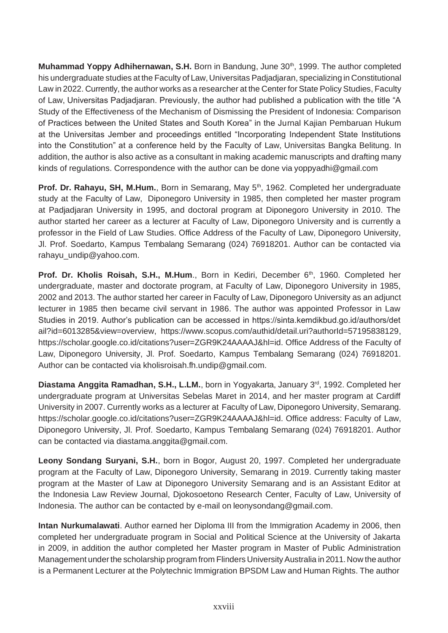**Muhammad Yoppy Adhihernawan, S.H.** Born in Bandung, June 30<sup>th</sup>, 1999. The author completed his undergraduate studies at the Faculty of Law, Universitas Padjadjaran, specializing in Constitutional Law in 2022. Currently, the author works as a researcher at the Center for State Policy Studies, Faculty of Law, Universitas Padjadjaran. Previously, the author had published a publication with the title "A Study of the Effectiveness of the Mechanism of Dismissing the President of Indonesia: Comparison of Practices between the United States and South Korea" in the Jurnal Kajian Pembaruan Hukum at the Universitas Jember and proceedings entitled "Incorporating Independent State Institutions into the Constitution" at a conference held by the Faculty of Law, Universitas Bangka Belitung. In addition, the author is also active as a consultant in making academic manuscripts and drafting many kinds of regulations. Correspondence with the author can be done via [yoppyadhi@gmail.com](mailto:yoppyadhi@gmail.com)

**Prof. Dr. Rahayu, SH, M.Hum.**, Born in Semarang, May 5<sup>th</sup>, 1962. Completed her undergraduate study at the Faculty of Law, Diponegoro University in 1985, then completed her master program at Padjadjaran University in 1995, and doctoral program at Diponegoro University in 2010. The author started her career as a lecturer at Faculty of Law, Diponegoro University and is currently a professor in the Field of Law Studies. Office Address of the Faculty of Law, Diponegoro University, Jl. Prof. Soedarto, Kampus Tembalang Semarang (024) 76918201. Author can be contacted via [rahayu\\_undip@yahoo.com.](mailto:rahayu_undip@yahoo.com)

**Prof. Dr. Kholis Roisah, S.H., M.Hum., Born in Kediri, December 6th, 1960. Completed her** undergraduate, master and doctorate program, at Faculty of Law, Diponegoro University in 1985, 2002 and 2013. The author started her career in Faculty of Law, Diponegoro University as an adjunct lecturer in 1985 then became civil servant in 1986. The author was appointed Professor in Law Studies in 2019. Author's publication can be accessed in https://sinta.kemdikbud.go.id/authors/det ail?id=6013285&view=overview, [https://www.scopus.com/authid/detail.uri?authorId=57195838129,](http://www.scopus.com/authid/detail.uri?authorId=57195838129) https://scholar.google.co.id/citations?user=ZGR9K24AAAAJ&hl=id. Office Address of the Faculty of Law, Diponegoro University, Jl. Prof. Soedarto, Kampus Tembalang Semarang (024) 76918201. Author can be contacted via [kholisroisah.fh.undip@gmail.com.](mailto:kholisroisah.fh.undip@gmail.com)

**Diastama Anggita Ramadhan, S.H., L.LM.**, born in Yogyakarta, January 3<sup>rd</sup>, 1992. Completed her undergraduate program at Universitas Sebelas Maret in 2014, and her master program at Cardiff University in 2007. Currently works as a lecturer at Faculty of Law, Diponegoro University, Semarang. https://scholar.google.co.id/citations?user=ZGR9K24AAAAJ&hl=id. Office address: Faculty of Law, Diponegoro University, Jl. Prof. Soedarto, Kampus Tembalang Semarang (024) 76918201. Author can be contacted via [diastama.anggita@gmail.com.](mailto:diastama.anggita@gmail.com)

**Leony Sondang Suryani, S.H.**, born in Bogor, August 20, 1997. Completed her undergraduate program at the Faculty of Law, Diponegoro University, Semarang in 2019. Currently taking master program at the Master of Law at Diponegoro University Semarang and is an Assistant Editor at the Indonesia Law Review Journal, Djokosoetono Research Center, Faculty of Law, University of Indonesia. The author can be contacted by e-mail on [leonysondang@gmail.com.](mailto:leonysondang@gmail.com)

**Intan Nurkumalawati**. Author earned her Diploma III from the Immigration Academy in 2006, then completed her undergraduate program in Social and Political Science at the University of Jakarta in 2009, in addition the author completed her Master program in Master of Public Administration Management under the scholarship program from Flinders University Australia in 2011. Now the author is a Permanent Lecturer at the Polytechnic Immigration BPSDM Law and Human Rights. The author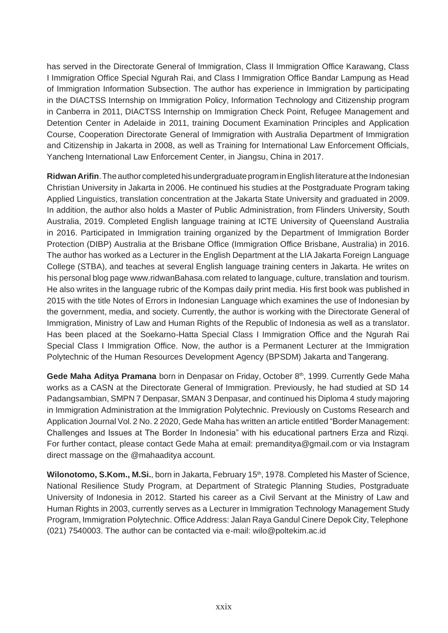has served in the Directorate General of Immigration, Class II Immigration Office Karawang, Class I Immigration Office Special Ngurah Rai, and Class I Immigration Office Bandar Lampung as Head of Immigration Information Subsection. The author has experience in Immigration by participating in the DIACTSS Internship on Immigration Policy, Information Technology and Citizenship program in Canberra in 2011, DIACTSS Internship on Immigration Check Point, Refugee Management and Detention Center in Adelaide in 2011, training Document Examination Principles and Application Course, Cooperation Directorate General of Immigration with Australia Department of Immigration and Citizenship in Jakarta in 2008, as well as Training for International Law Enforcement Officials, Yancheng International Law Enforcement Center, in Jiangsu, China in 2017.

**Ridwan Arifin**. The author completed his undergraduate program in English literature at the Indonesian Christian University in Jakarta in 2006. He continued his studies at the Postgraduate Program taking Applied Linguistics, translation concentration at the Jakarta State University and graduated in 2009. In addition, the author also holds a Master of Public Administration, from Flinders University, South Australia, 2019. Completed English language training at ICTE University of Queensland Australia in 2016. Participated in Immigration training organized by the Department of Immigration Border Protection (DIBP) Australia at the Brisbane Office (Immigration Office Brisbane, Australia) in 2016. The author has worked as a Lecturer in the English Department at the LIA Jakarta Foreign Language College (STBA), and teaches at several English language training centers in Jakarta. He writes on his personal blog page [www.ridwanBahasa.com](http://www.ridwanbahasa.com/) related to language, culture, translation and tourism. He also writes in the language rubric of the Kompas daily print media. His first book was published in 2015 with the title Notes of Errors in Indonesian Language which examines the use of Indonesian by the government, media, and society. Currently, the author is working with the Directorate General of Immigration, Ministry of Law and Human Rights of the Republic of Indonesia as well as a translator. Has been placed at the Soekarno-Hatta Special Class I Immigration Office and the Ngurah Rai Special Class I Immigration Office. Now, the author is a Permanent Lecturer at the Immigration Polytechnic of the Human Resources Development Agency (BPSDM) Jakarta and Tangerang.

Gede Maha Aditya Pramana born in Denpasar on Friday, October 8<sup>th</sup>, 1999. Currently Gede Maha works as a CASN at the Directorate General of Immigration. Previously, he had studied at SD 14 Padangsambian, SMPN 7 Denpasar, SMAN 3 Denpasar, and continued his Diploma 4 study majoring in Immigration Administration at the Immigration Polytechnic. Previously on Customs Research and Application Journal Vol. 2 No. 2 2020, Gede Maha has written an article entitled "Border Management: Challenges and Issues at The Border In Indonesia" with his educational partners Erza and Rizqi. For further contact, please contact Gede Maha at email: [premanditya@gmail.com o](mailto:premanditya@gmail.com)r via Instagram direct massage on the @mahaaditya account.

Wilonotomo, S.Kom., M.Si., born in Jakarta, February 15<sup>th</sup>, 1978. Completed his Master of Science, National Resilience Study Program, at Department of Strategic Planning Studies, Postgraduate University of Indonesia in 2012. Started his career as a Civil Servant at the Ministry of Law and Human Rights in 2003, currently serves as a Lecturer in Immigration Technology Management Study Program, Immigration Polytechnic. Office Address: Jalan Raya Gandul Cinere Depok City, Telephone (021) 7540003. The author can be contacted via e-mail: [wilo@poltekim.ac.id](mailto:wilo@poltekim.ac.id)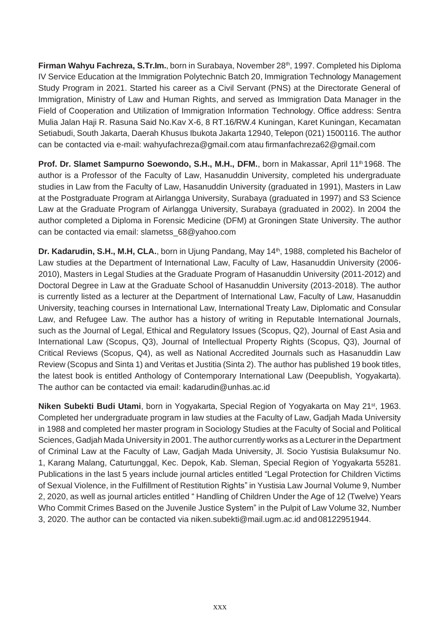**Firman Wahyu Fachreza, S.Tr.Im.**, born in Surabaya, November 28<sup>th</sup>, 1997. Completed his Diploma IV Service Education at the Immigration Polytechnic Batch 20, Immigration Technology Management Study Program in 2021. Started his career as a Civil Servant (PNS) at the Directorate General of Immigration, Ministry of Law and Human Rights, and served as Immigration Data Manager in the Field of Cooperation and Utilization of Immigration Information Technology. Office address: Sentra Mulia Jalan Haji R. Rasuna Said No.Kav X-6, 8 RT.16/RW.4 Kuningan, Karet Kuningan, Kecamatan Setiabudi, South Jakarta, Daerah Khusus Ibukota Jakarta 12940, Telepon (021) 1500116. The author can be contacted via e-mail: [wahyufachreza@gmail.com](mailto:wahyufachreza@gmail.com) atau [firmanfachreza62@gmail.com](mailto:firmanfachreza62@gmail.com)

**Prof. Dr. Slamet Sampurno Soewondo, S.H., M.H., DFM.**, born in Makassar, April 11<sup>th</sup> 1968. The author is a Professor of the Faculty of Law, Hasanuddin University, completed his undergraduate studies in Law from the Faculty of Law, Hasanuddin University (graduated in 1991), Masters in Law at the Postgraduate Program at Airlangga University, Surabaya (graduated in 1997) and S3 Science Law at the Graduate Program of Airlangga University, Surabaya (graduated in 2002). In 2004 the author completed a Diploma in Forensic Medicine (DFM) at Groningen State University. The author can be contacted via email: [slametss\\_68@yahoo.com](mailto:slametss_68@yahoo.com)

**Dr. Kadarudin, S.H., M.H, CLA.**, born in Ujung Pandang, May 14<sup>th</sup>, 1988, completed his Bachelor of Law studies at the Department of International Law, Faculty of Law, Hasanuddin University (2006- 2010), Masters in Legal Studies at the Graduate Program of Hasanuddin University (2011-2012) and Doctoral Degree in Law at the Graduate School of Hasanuddin University (2013-2018). The author is currently listed as a lecturer at the Department of International Law, Faculty of Law, Hasanuddin University, teaching courses in International Law, International Treaty Law, Diplomatic and Consular Law, and Refugee Law. The author has a history of writing in Reputable International Journals, such as the Journal of Legal, Ethical and Regulatory Issues (Scopus, Q2), Journal of East Asia and International Law (Scopus, Q3), Journal of Intellectual Property Rights (Scopus, Q3), Journal of Critical Reviews (Scopus, Q4), as well as National Accredited Journals such as Hasanuddin Law Review (Scopus and Sinta 1) and Veritas et Justitia (Sinta 2). The author has published 19 book titles, the latest book is entitled Anthology of Contemporary International Law (Deepublish, Yogyakarta). The author can be contacted via email: [kadarudin@unhas.ac.id](mailto:kadarudin@unhas.ac.id)

**Niken Subekti Budi Utami**, born in Yogyakarta, Special Region of Yogyakarta on May 21<sup>st</sup>, 1963. Completed her undergraduate program in law studies at the Faculty of Law, Gadjah Mada University in 1988 and completed her master program in Sociology Studies at the Faculty of Social and Political Sciences, Gadiah Mada University in 2001. The author currently works as a Lecturer in the Department of Criminal Law at the Faculty of Law, Gadjah Mada University, Jl. Socio Yustisia Bulaksumur No. 1, Karang Malang, Caturtunggal, Kec. Depok, Kab. Sleman, Special Region of Yogyakarta 55281. Publications in the last 5 years include journal articles entitled "Legal Protection for Children Victims of Sexual Violence, in the Fulfillment of Restitution Rights" in Yustisia Law Journal Volume 9, Number 2, 2020, as well as journal articles entitled " Handling of Children Under the Age of 12 (Twelve) Years Who Commit Crimes Based on the Juvenile Justice System" in the Pulpit of Law Volume 32, Number 3, 2020. The author can be contacted via [niken.subekti@mail.ugm.ac.id a](mailto:niken.subekti@mail.ugm.ac.id)nd08122951944.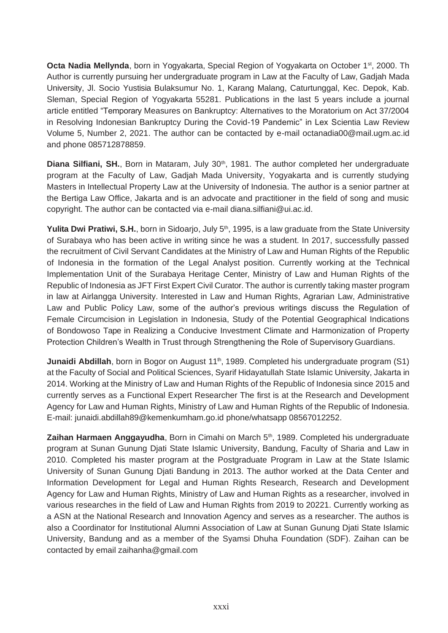**Octa Nadia Mellynda**, born in Yogyakarta, Special Region of Yogyakarta on October 1<sup>st</sup>, 2000. Th Author is currently pursuing her undergraduate program in Law at the Faculty of Law, Gadjah Mada University, Jl. Socio Yustisia Bulaksumur No. 1, Karang Malang, Caturtunggal, Kec. Depok, Kab. Sleman, Special Region of Yogyakarta 55281. Publications in the last 5 years include a journal article entitled "Temporary Measures on Bankruptcy: Alternatives to the Moratorium on Act 37/2004 in Resolving Indonesian Bankruptcy During the Covid-19 Pandemic" in Lex Scientia Law Review Volume 5, Number 2, 2021. The author can be contacted by e-mail [octanadia00@mail.ugm.ac.id](mailto:octanadia00@mail.ugm.ac.id) and phone 085712878859.

**Diana Silfiani, SH.**, Born in Mataram, July 30<sup>th</sup>, 1981. The author completed her undergraduate program at the Faculty of Law, Gadjah Mada University, Yogyakarta and is currently studying Masters in Intellectual Property Law at the University of Indonesia. The author is a senior partner at the Bertiga Law Office, Jakarta and is an advocate and practitioner in the field of song and music copyright. The author can be contacted via e-mail [diana.silfiani@ui.ac.id.](mailto:diana.silfiani@ui.ac.id)

Yulita Dwi Pratiwi, S.H., born in Sidoarjo, July 5<sup>th</sup>, 1995, is a law graduate from the State University of Surabaya who has been active in writing since he was a student. In 2017, successfully passed the recruitment of Civil Servant Candidates at the Ministry of Law and Human Rights of the Republic of Indonesia in the formation of the Legal Analyst position. Currently working at the Technical Implementation Unit of the Surabaya Heritage Center, Ministry of Law and Human Rights of the Republic of Indonesia as JFT First Expert Civil Curator. The author is currently taking master program in law at Airlangga University. Interested in Law and Human Rights, Agrarian Law, Administrative Law and Public Policy Law, some of the author's previous writings discuss the Regulation of Female Circumcision in Legislation in Indonesia, Study of the Potential Geographical Indications of Bondowoso Tape in Realizing a Conducive Investment Climate and Harmonization of Property Protection Children's Wealth in Trust through Strengthening the Role of Supervisory Guardians.

**Junaidi Abdillah**, born in Bogor on August 11<sup>th</sup>, 1989. Completed his undergraduate program (S1) at the Faculty of Social and Political Sciences, Syarif Hidayatullah State Islamic University, Jakarta in 2014. Working at the Ministry of Law and Human Rights of the Republic of Indonesia since 2015 and currently serves as a Functional Expert Researcher The first is at the Research and Development Agency for Law and Human Rights, Ministry of Law and Human Rights of the Republic of Indonesia. E-mail: [junaidi.abdillah89@kemenkumham.go.id p](mailto:junaidi.abdillah89@kemenkumham.go.id)hone/whatsapp 08567012252.

**Zaihan Harmaen Anggayudha**, Born in Cimahi on March 5<sup>th</sup>, 1989. Completed his undergraduate program at Sunan Gunung Djati State Islamic University, Bandung, Faculty of Sharia and Law in 2010. Completed his master program at the Postgraduate Program in Law at the State Islamic University of Sunan Gunung Djati Bandung in 2013. The author worked at the Data Center and Information Development for Legal and Human Rights Research, Research and Development Agency for Law and Human Rights, Ministry of Law and Human Rights as a researcher, involved in various researches in the field of Law and Human Rights from 2019 to 20221. Currently working as a ASN at the National Research and Innovation Agency and serves as a researcher. The authos is also a Coordinator for Institutional Alumni Association of Law at Sunan Gunung Djati State Islamic University, Bandung and as a member of the Syamsi Dhuha Foundation (SDF). Zaihan can be contacted by em[ail zaihanha@gmail.com](mailto:zaihanha@gmail.com)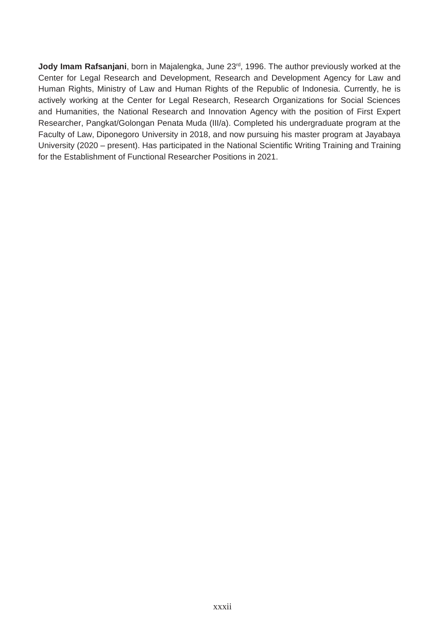**Jody Imam Rafsanjani**, born in Majalengka, June 23<sup>rd</sup>, 1996. The author previously worked at the Center for Legal Research and Development, Research and Development Agency for Law and Human Rights, Ministry of Law and Human Rights of the Republic of Indonesia. Currently, he is actively working at the Center for Legal Research, Research Organizations for Social Sciences and Humanities, the National Research and Innovation Agency with the position of First Expert Researcher, Pangkat/Golongan Penata Muda (III/a). Completed his undergraduate program at the Faculty of Law, Diponegoro University in 2018, and now pursuing his master program at Jayabaya University (2020 – present). Has participated in the National Scientific Writing Training and Training for the Establishment of Functional Researcher Positions in 2021.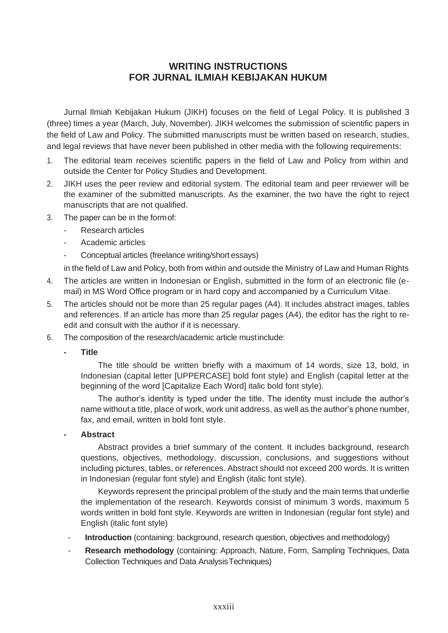## **WRITING INSTRUCTIONS FOR JURNAL ILMIAH KEBIJAKAN HUKUM**

Jurnal Ilmiah Kebijakan Hukum (JIKH) focuses on the field of Legal Policy. It is published 3 (three) times a year (March, July, November). JIKH welcomes the submission of scientific papers in the field of Law and Policy. The submitted manuscripts must be written based on research, studies, and legal reviews that have never been published in other media with the following requirements:

- 1. The editorial team receives scientific papers in the field of Law and Policy from within and outside the Center for Policy Studies and Development.
- 2. JIKH uses the peer review and editorial system. The editorial team and peer reviewer will be the examiner of the submitted manuscripts. As the examiner, the two have the right to reject manuscripts that are not qualified.
- 3. The paper can be in the formof:
	- Research articles
	- Academic articles
	- Conceptual articles (freelance writing/short essays)

in the field of Law and Policy, both from within and outside the Ministry of Law and Human Rights

- 4. The articles are written in Indonesian or English, submitted in the form of an electronic file (email) in MS Word Office program or in hard copy and accompanied by a Curriculum Vitae.
- 5. The articles should not be more than 25 regular pages (A4). It includes abstract images, tables and references. If an article has more than 25 regular pages (A4), the editor has the right to reedit and consult with the author if it is necessary.
- 6. The composition of the research/academic article mustinclude:
	- **- Title**

The title should be written briefly with a maximum of 14 words, size 13, bold, in Indonesian (capital letter [UPPERCASE] bold font style) and English (capital letter at the beginning of the word [Capitalize Each Word] italic bold font style).

The author's identity is typed under the title. The identity must include the author's name without a title, place of work, work unit address, as well as the author's phone number, fax, and email, written in bold font style.

**- Abstract**

Abstract provides a brief summary of the content. It includes background, research questions, objectives, methodology, discussion, conclusions, and suggestions without including pictures, tables, or references. Abstract should not exceed 200 words. It is written in Indonesian (regular font style) and English (italic font style).

Keywords represent the principal problem of the study and the main terms that underlie the implementation of the research. Keywords consist of minimum 3 words, maximum 5 words written in bold font style. Keywords are written in Indonesian (regular font style) and English (italic font style)

- Introduction (containing: background, research question, objectives and methodology)
- **Research methodology** (containing: Approach, Nature, Form, Sampling Techniques, Data Collection Techniques and Data AnalysisTechniques)